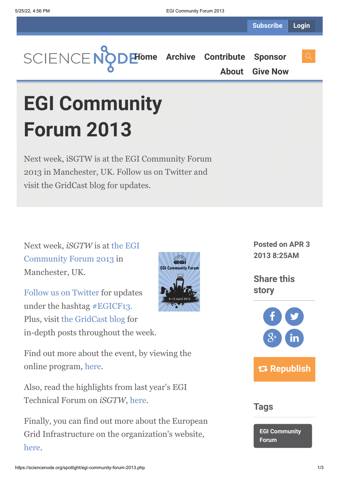

**[About](https://sciencenode.org/about/index.php) [Give Now](https://sciencenode.org/donate/index.php)**

**EGI Community Forum 2013**

Next week, iSGTW is at the EGI Community Forum 2013 in Manchester, UK. Follow us on Twitter and visit the GridCast blog for updates.

Next week, *iSGTW* is at the EGI [Community Forum 2013 in](http://cf2013.egi.eu/) Manchester, UK.

[Follow us on Twitter](https://twitter.com/isgtw) for updates under the hashtag [#EGICF13.](https://twitter.com/search?q=%23EGICF13&src=typd) Plus, visit [the GridCast blog](http://gridcast.web.cern.ch/Gridcast/) for in-depth posts throughout the week.

Find out more about the event, by viewing the online program, [here](https://indico.egi.eu/indico/conferenceTimeTable.py?confId=1222#20130408).

Also, read the highlights from last year's EGI Technical Forum on *iSGTW*, [here.](http://www.isgtw.org/issues/26-september-2012)

Finally, you can find out more about the European Grid Infrastructure on the organization's website, [here](http://www.egi.eu/).



**Posted on APR 3 2013 8:25AM**

**Share this story**



**Tags**

**[EGI Community](https://sciencenode.org/tag/?tag=EGI%20Community%20Forum) Forum**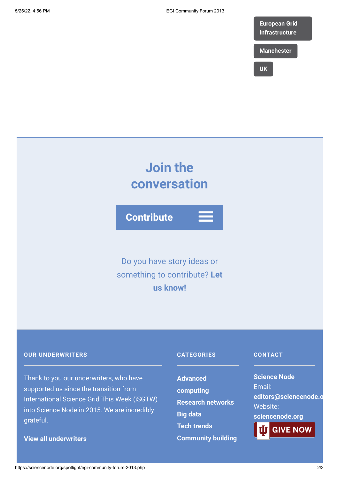

**[UK](https://sciencenode.org/tag/?tag=UK)**

# **Join the conversation**

**Contribute**

Do you have story ideas or something to contribute? **Let us know!**

### **OUR UNDERWRITERS**

Thank to you our underwriters, who have supported us since the transition from International Science Grid This Week (iSGTW) into Science Node in 2015. We are incredibly grateful.

**[View all underwriters](https://sciencenode.org/about/index.php)**

## **CATEGORIES**

**Advanced [computing](https://sciencenode.org/archive/?year=2016&category=Advanced%20computing) [Research networks](https://sciencenode.org/archive/?year=2016&category=Advanced%20computing&category=Research%20networks) [Big data](https://sciencenode.org/archive/?year=2016&category=Advanced%20computing&category=Research%20networks&category=Big%20data) [Tech trends](https://sciencenode.org/archive/?year=2016&category=Advanced%20computing&category=Research%20networks&category=Big%20data&category=Tech%20trends) [Community building](https://sciencenode.org/archive/?year=2016&category=Advanced%20computing&category=Research%20networks&category=Big%20data&category=Tech%20trends&category=Community%20building)**

### **CONTACT**

**Science Node** Email: **[editors@sciencenode.o](mailto:edit%6F%72s@s%63%69encenode.%6F%72%67)** Website: **[sciencenode.org](https://sciencenode.org/)**